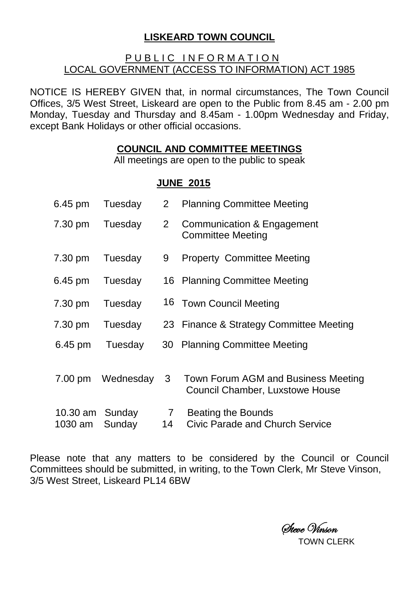## **LISKEARD TOWN COUNCIL**

## PUBLIC INFORMATION LOCAL GOVERNMENT (ACCESS TO INFORMATION) ACT 1985

NOTICE IS HEREBY GIVEN that, in normal circumstances, The Town Council Offices, 3/5 West Street, Liskeard are open to the Public from 8.45 am - 2.00 pm Monday, Tuesday and Thursday and 8.45am - 1.00pm Wednesday and Friday, except Bank Holidays or other official occasions.

## **COUNCIL AND COMMITTEE MEETINGS**

All meetings are open to the public to speak

## **JUNE 2015**

| 6.45 pm                    | Tuesday   | 2 <sup>2</sup>        | <b>Planning Committee Meeting</b>                                             |
|----------------------------|-----------|-----------------------|-------------------------------------------------------------------------------|
| 7.30 pm                    | Tuesday   | 2 <sup>1</sup>        | Communication & Engagement<br><b>Committee Meeting</b>                        |
| 7.30 pm                    | Tuesday   | 9                     | <b>Property Committee Meeting</b>                                             |
| 6.45 pm                    | Tuesday   |                       | 16 Planning Committee Meeting                                                 |
| 7.30 pm                    | Tuesday   |                       | 16 Town Council Meeting                                                       |
| 7.30 pm                    | Tuesday   |                       | 23 Finance & Strategy Committee Meeting                                       |
| 6.45 pm                    | Tuesday   |                       | 30 Planning Committee Meeting                                                 |
| 7.00 pm                    | Wednesday | 3 <sup>1</sup>        | Town Forum AGM and Business Meeting<br><b>Council Chamber, Luxstowe House</b> |
| 10.30 am Sunday<br>1030 am | Sunday    | $7\overline{ }$<br>14 | Beating the Bounds<br>Civic Parade and Church Service                         |

Please note that any matters to be considered by the Council or Council Committees should be submitted, in writing, to the Town Clerk, Mr Steve Vinson, 3/5 West Street, Liskeard PL14 6BW

Steve Vinson

TOWN CLERK